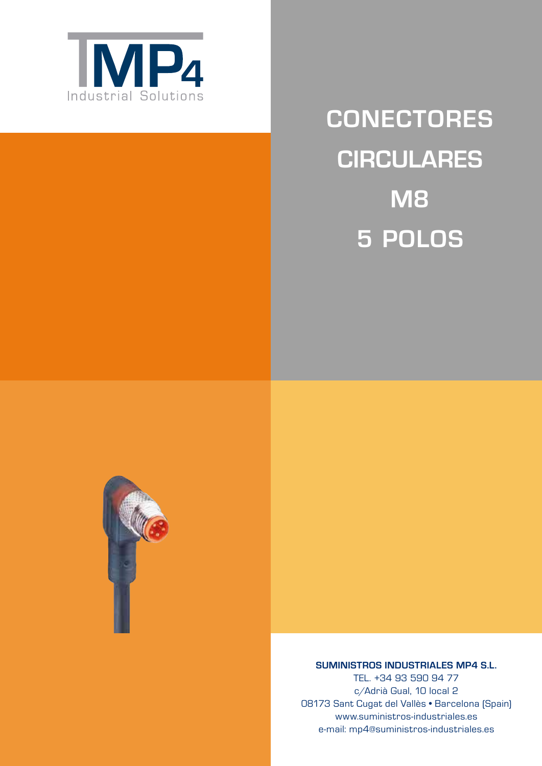

# **ConeCtores CIRCULARES M8 5 Polos**



# **SUMINISTROS INDUSTRIALES MP4 S.L.**

TEL. +34 93 590 94 77 c/Adrià Gual, 10 local 2 08173 Sant Cugat del Vallès • Barcelona (Spain) www.suministros-industriales.es e-mail: mp4@suministros-industriales.es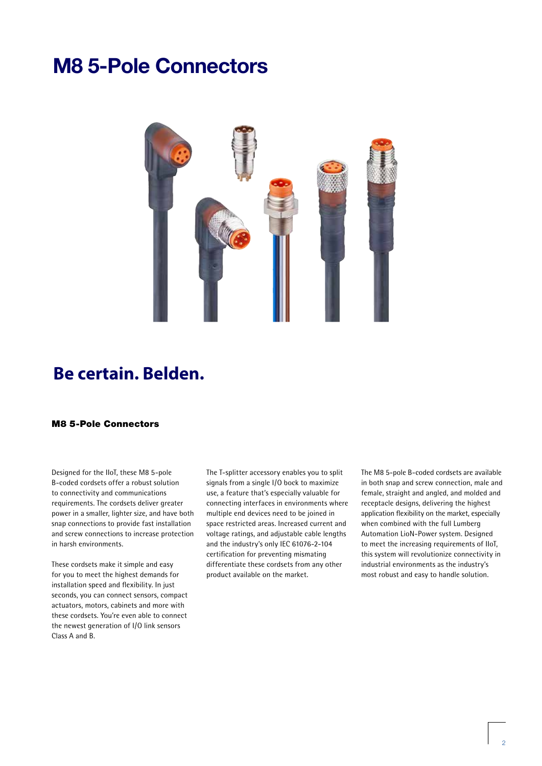# **M8 5-Pole Connectors**



# **Be certain. Belden.**

# M8 5-Pole Connectors

Designed for the IIoT, these M8 5-pole B-coded cordsets offer a robust solution to connectivity and communications requirements. The cordsets deliver greater power in a smaller, lighter size, and have both snap connections to provide fast installation and screw connections to increase protection in harsh environments.

These cordsets make it simple and easy for you to meet the highest demands for installation speed and flexibility. In just seconds, you can connect sensors, compact actuators, motors, cabinets and more with these cordsets. You're even able to connect the newest generation of I/O link sensors Class A and B.

The T-splitter accessory enables you to split signals from a single I/O bock to maximize use, a feature that's especially valuable for connecting interfaces in environments where multiple end devices need to be joined in space restricted areas. Increased current and voltage ratings, and adjustable cable lengths and the industry's only IEC 61076-2-104 certification for preventing mismating differentiate these cordsets from any other product available on the market.

The M8 5-pole B-coded cordsets are available in both snap and screw connection, male and female, straight and angled, and molded and receptacle designs, delivering the highest application flexibility on the market, especially when combined with the full Lumberg Automation LioN-Power system. Designed to meet the increasing requirements of IIoT, this system will revolutionize connectivity in industrial environments as the industry's most robust and easy to handle solution.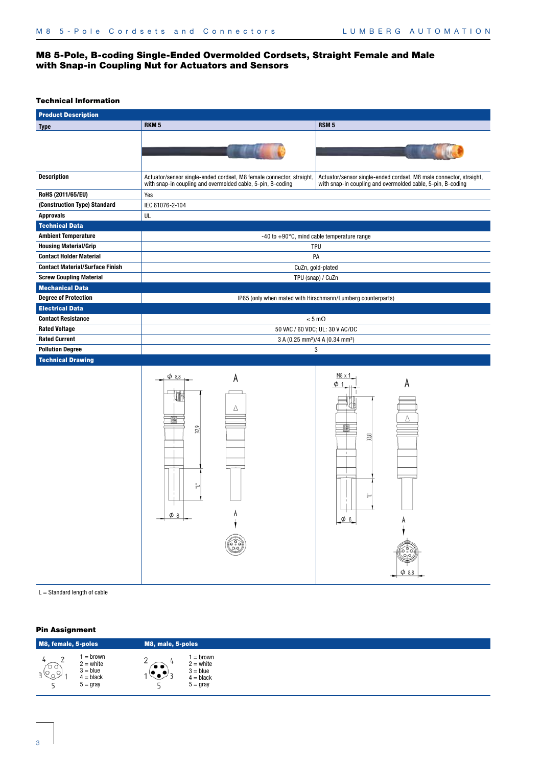# M8 5-Pole, B-coding Single-Ended Overmolded Cordsets, Straight Female and Male with Snap-in Coupling Nut for Actuators and Sensors

# Technical Information

| <b>Product Description</b>                   |                                                                                                                                     |                                                                                                                                   |  |  |  |
|----------------------------------------------|-------------------------------------------------------------------------------------------------------------------------------------|-----------------------------------------------------------------------------------------------------------------------------------|--|--|--|
| <b>Type</b>                                  | RKM <sub>5</sub>                                                                                                                    | RSM <sub>5</sub>                                                                                                                  |  |  |  |
|                                              |                                                                                                                                     |                                                                                                                                   |  |  |  |
| <b>Description</b>                           | Actuator/sensor single-ended cordset, M8 female connector, straight,<br>with snap-in coupling and overmolded cable, 5-pin, B-coding | Actuator/sensor single-ended cordset, M8 male connector, straight,<br>with snap-in coupling and overmolded cable, 5-pin, B-coding |  |  |  |
| RoHS (2011/65/EU)                            | Yes                                                                                                                                 |                                                                                                                                   |  |  |  |
| (Construction Type) Standard                 | IEC 61076-2-104                                                                                                                     |                                                                                                                                   |  |  |  |
| <b>Approvals</b>                             | UL                                                                                                                                  |                                                                                                                                   |  |  |  |
| <b>Technical Data</b>                        |                                                                                                                                     |                                                                                                                                   |  |  |  |
| <b>Ambient Temperature</b>                   |                                                                                                                                     | $-40$ to $+90^{\circ}$ C, mind cable temperature range                                                                            |  |  |  |
| <b>Housing Material/Grip</b>                 |                                                                                                                                     | <b>TPU</b>                                                                                                                        |  |  |  |
| <b>Contact Holder Material</b>               |                                                                                                                                     | PA                                                                                                                                |  |  |  |
| <b>Contact Material/Surface Finish</b>       |                                                                                                                                     | CuZn, gold-plated                                                                                                                 |  |  |  |
| <b>Screw Coupling Material</b>               |                                                                                                                                     | TPU (snap) / CuZn                                                                                                                 |  |  |  |
| <b>Mechanical Data</b>                       |                                                                                                                                     |                                                                                                                                   |  |  |  |
| <b>Degree of Protection</b>                  |                                                                                                                                     | IP65 (only when mated with Hirschmann/Lumberg counterparts)                                                                       |  |  |  |
| <b>Electrical Data</b>                       |                                                                                                                                     |                                                                                                                                   |  |  |  |
| <b>Contact Resistance</b>                    | $\leq 5 \text{ m}\Omega$<br>50 VAC / 60 VDC; UL: 30 V AC/DC                                                                         |                                                                                                                                   |  |  |  |
| <b>Rated Voltage</b><br><b>Rated Current</b> |                                                                                                                                     |                                                                                                                                   |  |  |  |
| <b>Pollution Degree</b>                      | 3 A (0.25 mm <sup>2</sup> )/4 A (0.34 mm <sup>2</sup> )                                                                             |                                                                                                                                   |  |  |  |
| <b>Technical Drawing</b>                     | 3                                                                                                                                   |                                                                                                                                   |  |  |  |
|                                              | $\phi$ 8.8<br>A<br>Δ<br>32,9<br>$-\frac{\varphi_8}{\varphi_8}$<br>6.00                                                              | M8 x 1<br>A<br>33,8<br>$\mathbf{I}$<br>$\phi$ 8<br>ౕ<br>$O_1O$<br>$\phi$ 8,8                                                      |  |  |  |

 $L =$  Standard length of cable

| M8, female, 5-poles  |                                                                          | M8, male, 5-poles   |                                                                     |
|----------------------|--------------------------------------------------------------------------|---------------------|---------------------------------------------------------------------|
| $\mathbb{C}^{\circ}$ | = brown<br>$2 =$ white<br>$3 = blue$<br>$4 = black$<br>$5 = \text{gray}$ | $\bullet$ $\bullet$ | $=$ brown<br>$2 =$ white<br>$3 = blue$<br>$4 = black$<br>$5 =$ gray |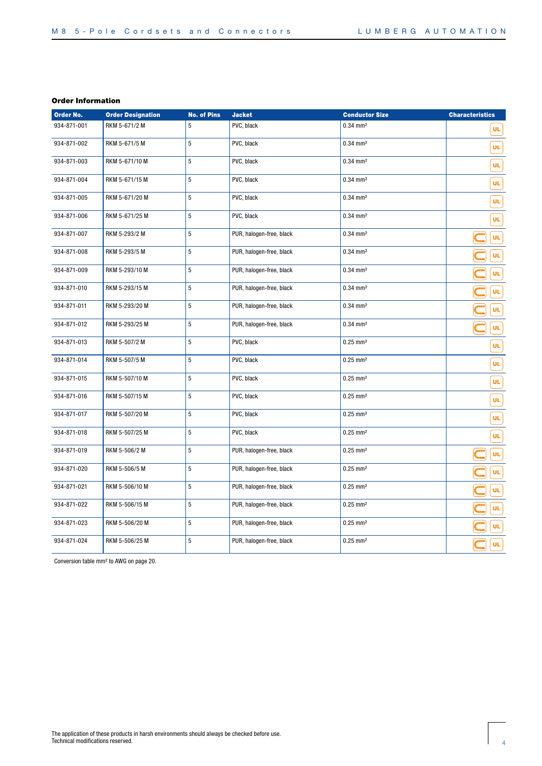| <b>Order No.</b> | <b>Order Designation</b> | <b>No. of Pins</b> | <b>Jacket</b>            | <b>Conductor Size</b>  | <b>Characteristics</b> |
|------------------|--------------------------|--------------------|--------------------------|------------------------|------------------------|
| 934-871-001      | RKM 5-671/2 M            | 5                  | PVC, black               | $0.34$ mm <sup>2</sup> | UL.                    |
| 934-871-002      | RKM 5-671/5 M            | 5                  | PVC, black               | $0.34 \, \text{mm}^2$  | UL.                    |
| 934-871-003      | RKM 5-671/10 M           | 5                  | PVC, black               | $0.34 \, \text{mm}^2$  | UL.                    |
| 934-871-004      | RKM 5-671/15 M           | 5                  | PVC, black               | $0.34$ mm <sup>2</sup> | UL.                    |
| 934-871-005      | RKM 5-671/20 M           | 5                  | PVC, black               | $0.34 \, \text{mm}^2$  | ÜL                     |
| 934-871-006      | RKM 5-671/25 M           | 5                  | PVC, black               | $0.34$ mm <sup>2</sup> | UL                     |
| 934-871-007      | RKM 5-293/2 M            | 5                  | PUR, halogen-free, black | $0.34 \, \text{mm}^2$  | ÜL                     |
| 934-871-008      | RKM 5-293/5 M            | 5                  | PUR, halogen-free, black | $0.34$ mm <sup>2</sup> | UL.                    |
| 934-871-009      | RKM 5-293/10 M           | 5                  | PUR, halogen-free, black | $0.34$ mm <sup>2</sup> | UL.                    |
| 934-871-010      | RKM 5-293/15 M           | 5                  | PUR, halogen-free, black | $0.34$ mm <sup>2</sup> | UL                     |
| 934-871-011      | RKM 5-293/20 M           | 5                  | PUR, halogen-free, black | $0.34$ mm <sup>2</sup> | UL                     |
| 934-871-012      | RKM 5-293/25 M           | 5                  | PUR, halogen-free, black | $0.34$ mm <sup>2</sup> | UL                     |
| 934-871-013      | RKM 5-507/2 M            | 5                  | PVC, black               | $0.25$ mm <sup>2</sup> | <b>UL</b>              |
| 934-871-014      | RKM 5-507/5 M            | 5                  | PVC, black               | $0.25$ mm <sup>2</sup> | UL.                    |
| 934-871-015      | RKM 5-507/10 M           | 5                  | PVC, black               | $0.25$ mm <sup>2</sup> | UL                     |
| 934-871-016      | RKM 5-507/15 M           | 5                  | PVC, black               | $0.25$ mm <sup>2</sup> | UL                     |
| 934-871-017      | RKM 5-507/20 M           | 5                  | PVC, black               | $0.25$ mm <sup>2</sup> | UL                     |
| 934-871-018      | RKM 5-507/25 M           | 5                  | PVC, black               | $0.25$ mm <sup>2</sup> | UL                     |
| 934-871-019      | RKM 5-506/2 M            | 5                  | PUR, halogen-free, black | $0.25$ mm <sup>2</sup> | ÜL                     |
| 934-871-020      | RKM 5-506/5 M            | 5                  | PUR, halogen-free, black | $0.25$ mm <sup>2</sup> | UL                     |
| 934-871-021      | RKM 5-506/10 M           | 5                  | PUR, halogen-free, black | $0.25$ mm <sup>2</sup> | UL                     |
| 934-871-022      | RKM 5-506/15 M           | 5                  | PUR, halogen-free, black | $0.25$ mm <sup>2</sup> | UL                     |
| 934-871-023      | RKM 5-506/20 M           | 5                  | PUR, halogen-free, black | $0.25$ mm <sup>2</sup> | UL                     |
| 934-871-024      | RKM 5-506/25 M           | 5                  | PUR, halogen-free, black | $0.25$ mm <sup>2</sup> | UL.                    |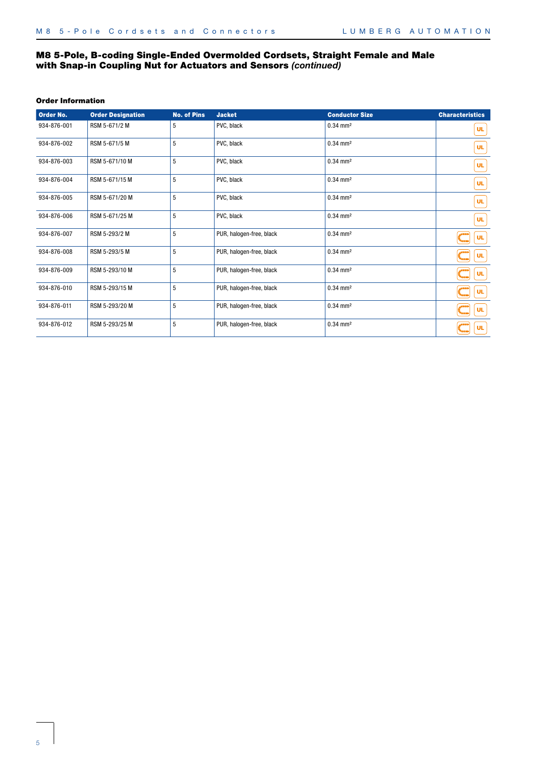# M8 5-Pole, B-coding Single-Ended Overmolded Cordsets, Straight Female and Male with Snap-in Coupling Nut for Actuators and Sensors *(continued)*

| Order No.   | <b>Order Designation</b> | <b>No. of Pins</b> | <b>Jacket</b>            | <b>Conductor Size</b>  | <b>Characteristics</b>                                      |
|-------------|--------------------------|--------------------|--------------------------|------------------------|-------------------------------------------------------------|
| 934-876-001 | RSM 5-671/2 M            | 5                  | PVC, black               | $0.34 \, \text{mm}^2$  | <b>UL</b>                                                   |
| 934-876-002 | RSM 5-671/5 M            | 5                  | PVC, black               | $0.34 \, \text{mm}^2$  | <b>UL</b>                                                   |
| 934-876-003 | RSM 5-671/10 M           | 5                  | PVC, black               | $0.34 \, \text{mm}^2$  | UL.                                                         |
| 934-876-004 | RSM 5-671/15 M           | 5                  | PVC, black               | $0.34 \, \text{mm}^2$  | UL.                                                         |
| 934-876-005 | RSM 5-671/20 M           | 5                  | PVC, black               | $0.34 \, \text{mm}^2$  | <b>UL</b>                                                   |
| 934-876-006 | RSM 5-671/25 M           | 5                  | PVC, black               | $0.34 \, \text{mm}^2$  | <b>UL</b>                                                   |
| 934-876-007 | RSM 5-293/2 M            | 5                  | PUR, halogen-free, black | $0.34 \, \text{mm}^2$  | $\sqrt{2}$<br><b>UL</b><br>r<br>Mana                        |
| 934-876-008 | RSM 5-293/5 M            | 5                  | PUR, halogen-free, black | $0.34 \, \text{mm}^2$  | $\frac{1}{2}$<br><b>UL</b>                                  |
| 934-876-009 | RSM 5-293/10 M           | 5                  | PUR, halogen-free, black | $0.34 \, \text{mm}^2$  | $\sum_{n=1}^{\infty}$<br><b>UL</b>                          |
| 934-876-010 | RSM 5-293/15 M           | 5                  | PUR, halogen-free, black | $0.34 \, \text{mm}^2$  | $\sum_{n=1}^{\infty}$<br><b>UL</b>                          |
| 934-876-011 | RSM 5-293/20 M           | 5                  | PUR, halogen-free, black | $0.34 \, \text{mm}^2$  | $\int_{\tau_{\text{max}}}^{\tau_{\text{max}}}$<br><b>UL</b> |
| 934-876-012 | RSM 5-293/25 M           | 5                  | PUR, halogen-free, black | $0.34$ mm <sup>2</sup> | $\int_{\tau_{\text{max}}}^{\tau_{\text{max}}}$<br><b>UL</b> |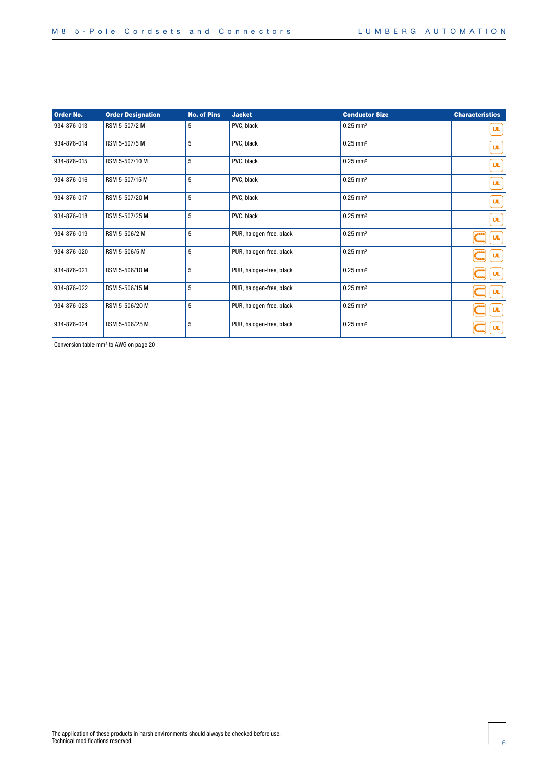| Order No.   | <b>Order Designation</b> | <b>No. of Pins</b> | <b>Jacket</b>            | <b>Conductor Size</b>  | <b>Characteristics</b>                           |
|-------------|--------------------------|--------------------|--------------------------|------------------------|--------------------------------------------------|
| 934-876-013 | RSM 5-507/2 M            | 5                  | PVC, black               | $0.25$ mm <sup>2</sup> | <b>UL</b>                                        |
| 934-876-014 | RSM 5-507/5 M            | 5                  | PVC, black               | $0.25$ mm <sup>2</sup> | UL.                                              |
| 934-876-015 | RSM 5-507/10 M           | 5                  | PVC, black               | $0.25 \, \text{mm}^2$  | UL.                                              |
| 934-876-016 | RSM 5-507/15 M           | 5                  | PVC, black               | $0.25$ mm <sup>2</sup> | UL.                                              |
| 934-876-017 | RSM 5-507/20 M           | 5                  | PVC, black               | $0.25$ mm <sup>2</sup> | UL.                                              |
| 934-876-018 | RSM 5-507/25 M           | 5                  | PVC, black               | $0.25 \, \text{mm}^2$  | <b>UL</b>                                        |
| 934-876-019 | RSM 5-506/2 M            | 5                  | PUR, halogen-free, black | $0.25 \, \text{mm}^2$  | <b>SPPI</b><br><b>UL</b><br><b>General</b>       |
| 934-876-020 | RSM 5-506/5 M            | 5                  | PUR, halogen-free, black | $0.25 \, \text{mm}^2$  | تفقعي<br><b>UL</b><br>e<br>Mana                  |
| 934-876-021 | RSM 5-506/10 M           | 5                  | PUR, halogen-free, black | $0.25 \, \text{mm}^2$  | تفقعي<br><b>UL</b><br>t<br>Taxa                  |
| 934-876-022 | RSM 5-506/15 M           | 5                  | PUR, halogen-free, black | $0.25$ mm <sup>2</sup> | بمعجج<br><b>UL</b><br>t<br>Taaa                  |
| 934-876-023 | RSM 5-506/20 M           | 5                  | PUR, halogen-free, black | $0.25$ mm <sup>2</sup> | بمعجج<br><b>UL</b><br><b><i><u>Freem</u></i></b> |
| 934-876-024 | RSM 5-506/25 M           | 5                  | PUR, halogen-free, black | $0.25 \, \text{mm}^2$  | بددي<br><b>UL</b><br><b>Text</b>                 |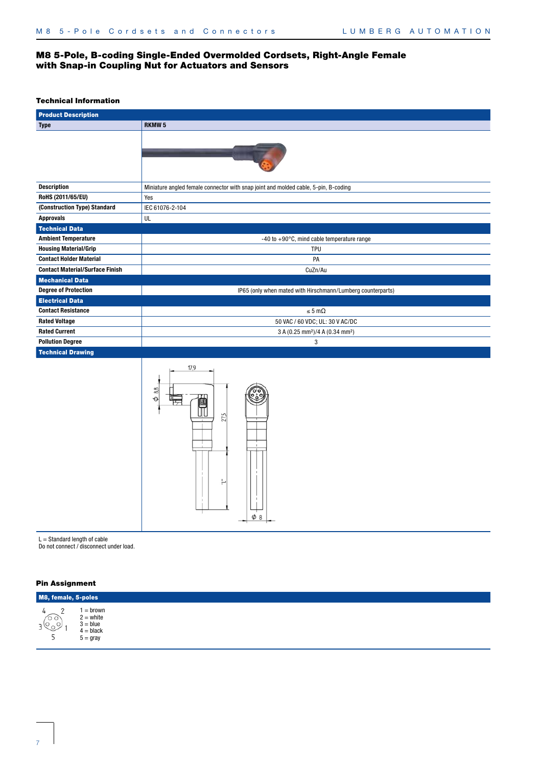# M8 5-Pole, B-coding Single-Ended Overmolded Cordsets, Right-Angle Female with Snap-in Coupling Nut for Actuators and Sensors

#### Technical Information

| <b>Product Description</b>             |                                                                                     |  |  |  |
|----------------------------------------|-------------------------------------------------------------------------------------|--|--|--|
| <b>Type</b>                            | <b>RKMW<sub>5</sub></b>                                                             |  |  |  |
|                                        |                                                                                     |  |  |  |
| <b>Description</b>                     | Miniature angled female connector with snap joint and molded cable, 5-pin, B-coding |  |  |  |
| RoHS (2011/65/EU)                      | Yes                                                                                 |  |  |  |
| (Construction Type) Standard           | IEC 61076-2-104                                                                     |  |  |  |
| <b>Approvals</b>                       | UL                                                                                  |  |  |  |
| <b>Technical Data</b>                  |                                                                                     |  |  |  |
| <b>Ambient Temperature</b>             | $-40$ to $+90^{\circ}$ C, mind cable temperature range                              |  |  |  |
| <b>Housing Material/Grip</b>           | <b>TPU</b>                                                                          |  |  |  |
| <b>Contact Holder Material</b>         | PA                                                                                  |  |  |  |
| <b>Contact Material/Surface Finish</b> | CuZn/Au                                                                             |  |  |  |
| <b>Mechanical Data</b>                 |                                                                                     |  |  |  |
| <b>Degree of Protection</b>            | IP65 (only when mated with Hirschmann/Lumberg counterparts)                         |  |  |  |
| <b>Electrical Data</b>                 |                                                                                     |  |  |  |
| <b>Contact Resistance</b>              | $\leq 5 \text{ m}\Omega$                                                            |  |  |  |
| <b>Rated Voltage</b>                   | 50 VAC / 60 VDC; UL: 30 V AC/DC                                                     |  |  |  |
| <b>Rated Current</b>                   | 3 A (0.25 mm <sup>2</sup> )/4 A (0.34 mm <sup>2</sup> )                             |  |  |  |
| <b>Pollution Degree</b>                | 3                                                                                   |  |  |  |
| <b>Technical Drawing</b>               |                                                                                     |  |  |  |



 $L =$  Standard length of cable

Do not connect / disconnect under load.

| M8, female, 5-poles                                        |                                                                   |  |  |  |
|------------------------------------------------------------|-------------------------------------------------------------------|--|--|--|
| $\overline{\phantom{0}}$<br>o o,<br>$\sim$<br>$\checkmark$ | = brown<br>$2 =$ white<br>$3 = blue$<br>$4 = black$<br>$5 = gray$ |  |  |  |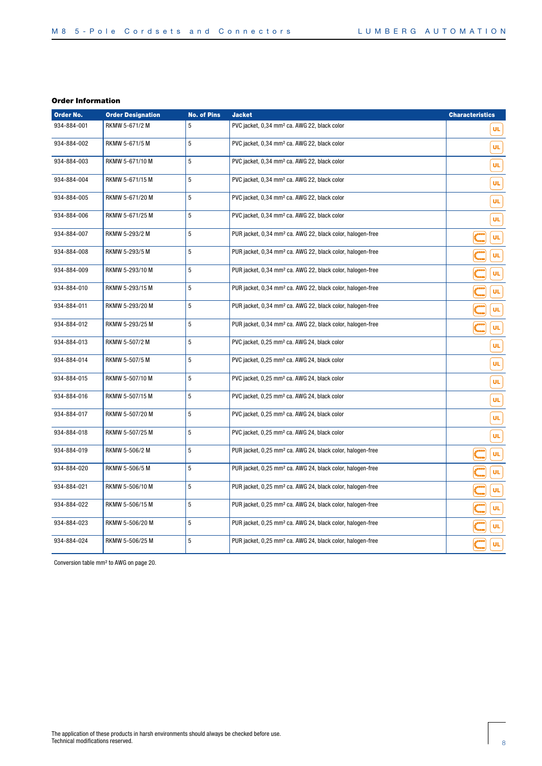| Order No.   | <b>Order Designation</b> | <b>No. of Pins</b> | <b>Jacket</b>                                                          | <b>Characteristics</b> |
|-------------|--------------------------|--------------------|------------------------------------------------------------------------|------------------------|
| 934-884-001 | RKMW 5-671/2 M           | 5                  | PVC jacket, 0,34 mm <sup>2</sup> ca. AWG 22, black color               | <b>UL</b>              |
| 934-884-002 | RKMW 5-671/5 M           | 5                  | PVC jacket, 0,34 mm <sup>2</sup> ca. AWG 22, black color               | UL                     |
| 934-884-003 | RKMW 5-671/10 M          | 5                  | PVC jacket, 0,34 mm <sup>2</sup> ca. AWG 22, black color               | UL.                    |
| 934-884-004 | RKMW 5-671/15 M          | 5                  | PVC jacket, 0,34 mm <sup>2</sup> ca. AWG 22, black color               | ÜL                     |
| 934-884-005 | RKMW 5-671/20 M          | 5                  | PVC jacket, 0,34 mm <sup>2</sup> ca. AWG 22, black color               | ÜL                     |
| 934-884-006 | RKMW 5-671/25 M          | 5                  | PVC jacket, 0,34 mm <sup>2</sup> ca. AWG 22, black color               | <b>UL</b>              |
| 934-884-007 | RKMW 5-293/2 M           | 5                  | PUR jacket, 0,34 mm <sup>2</sup> ca. AWG 22, black color, halogen-free | ÜL                     |
| 934-884-008 | RKMW 5-293/5 M           | 5                  | PUR jacket, 0,34 mm <sup>2</sup> ca. AWG 22, black color, halogen-free | <b>UL</b>              |
| 934-884-009 | RKMW 5-293/10 M          | 5                  | PUR jacket, 0,34 mm <sup>2</sup> ca. AWG 22, black color, halogen-free | <b>UL</b>              |
| 934-884-010 | RKMW 5-293/15 M          | 5                  | PUR jacket, 0,34 mm <sup>2</sup> ca. AWG 22, black color, halogen-free | UL.                    |
| 934-884-011 | RKMW 5-293/20 M          | 5                  | PUR jacket, 0,34 mm <sup>2</sup> ca. AWG 22, black color, halogen-free | UL.                    |
| 934-884-012 | RKMW 5-293/25 M          | 5                  | PUR jacket, 0,34 mm <sup>2</sup> ca. AWG 22, black color, halogen-free | <b>UL</b>              |
| 934-884-013 | RKMW 5-507/2 M           | 5                  | PVC jacket, 0,25 mm <sup>2</sup> ca. AWG 24, black color               | <b>UL</b>              |
| 934-884-014 | RKMW 5-507/5 M           | 5                  | PVC jacket, 0,25 mm <sup>2</sup> ca. AWG 24, black color               | <b>UL</b>              |
| 934-884-015 | RKMW 5-507/10 M          | 5                  | PVC jacket, 0,25 mm <sup>2</sup> ca. AWG 24, black color               | UL.                    |
| 934-884-016 | RKMW 5-507/15 M          | 5                  | PVC jacket, 0,25 mm <sup>2</sup> ca. AWG 24, black color               | ÜL                     |
| 934-884-017 | RKMW 5-507/20 M          | 5                  | PVC jacket, 0,25 mm <sup>2</sup> ca. AWG 24, black color               | UL                     |
| 934-884-018 | RKMW 5-507/25 M          | 5                  | PVC jacket, 0,25 mm <sup>2</sup> ca. AWG 24, black color               | UL                     |
| 934-884-019 | RKMW 5-506/2 M           | 5                  | PUR jacket, 0,25 mm <sup>2</sup> ca. AWG 24, black color, halogen-free | UL                     |
| 934-884-020 | RKMW 5-506/5 M           | 5                  | PUR jacket, 0,25 mm <sup>2</sup> ca. AWG 24, black color, halogen-free | UL                     |
| 934-884-021 | RKMW 5-506/10 M          | 5                  | PUR jacket, 0,25 mm <sup>2</sup> ca. AWG 24, black color, halogen-free | UL                     |
| 934-884-022 | RKMW 5-506/15 M          | 5                  | PUR jacket, 0,25 mm <sup>2</sup> ca. AWG 24, black color, halogen-free | UL                     |
| 934-884-023 | RKMW 5-506/20 M          | 5                  | PUR jacket, 0,25 mm <sup>2</sup> ca. AWG 24, black color, halogen-free | UL                     |
| 934-884-024 | RKMW 5-506/25 M          | 5                  | PUR jacket, 0,25 mm <sup>2</sup> ca. AWG 24, black color, halogen-free | UL                     |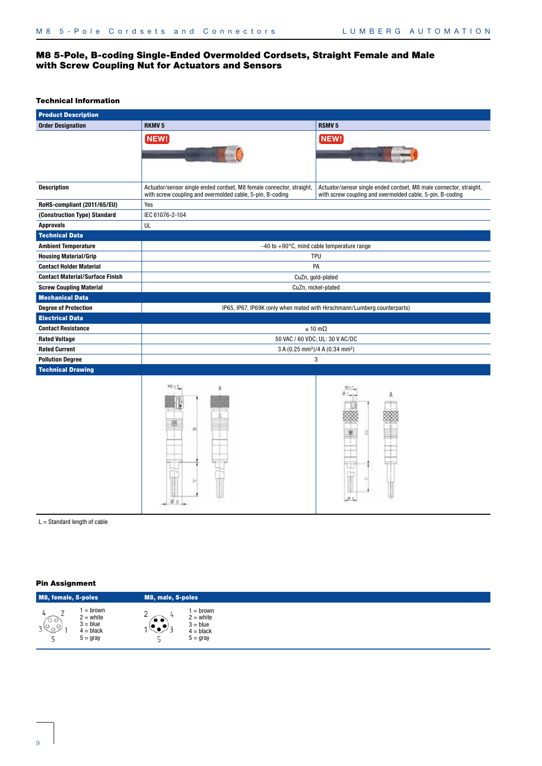# M8 5-Pole, B-coding Single-Ended Overmolded Cordsets, Straight Female and Male with Screw Coupling Nut for Actuators and Sensors

# Technical Information

| <b>Product Description</b>             |                                                                                                                                   |                                                                                                                                 |  |  |  |  |
|----------------------------------------|-----------------------------------------------------------------------------------------------------------------------------------|---------------------------------------------------------------------------------------------------------------------------------|--|--|--|--|
| <b>Order Designation</b>               | <b>RKMV5</b>                                                                                                                      | <b>RSMV<sub>5</sub></b>                                                                                                         |  |  |  |  |
|                                        | NEW!                                                                                                                              | NEW!                                                                                                                            |  |  |  |  |
|                                        |                                                                                                                                   |                                                                                                                                 |  |  |  |  |
|                                        |                                                                                                                                   |                                                                                                                                 |  |  |  |  |
|                                        |                                                                                                                                   |                                                                                                                                 |  |  |  |  |
| <b>Description</b>                     | Actuator/sensor single ended cordset, M8 female connector, straight,<br>with screw coupling and overmolded cable, 5-pin, B-coding | Actuator/sensor single ended cordset, M8 male connector, straight,<br>with screw coupling and overmolded cable, 5-pin, B-coding |  |  |  |  |
| RoHS-compliant (2011/65/EU)            | Yes                                                                                                                               |                                                                                                                                 |  |  |  |  |
| (Construction Type) Standard           | IEC 61076-2-104                                                                                                                   |                                                                                                                                 |  |  |  |  |
| <b>Approvals</b>                       | UL                                                                                                                                |                                                                                                                                 |  |  |  |  |
| <b>Technical Data</b>                  |                                                                                                                                   |                                                                                                                                 |  |  |  |  |
| <b>Ambient Temperature</b>             |                                                                                                                                   | $-40$ to $+90^{\circ}$ C, mind cable temperature range                                                                          |  |  |  |  |
| <b>Housing Material/Grip</b>           |                                                                                                                                   | TPU                                                                                                                             |  |  |  |  |
| <b>Contact Holder Material</b>         |                                                                                                                                   | PA                                                                                                                              |  |  |  |  |
| <b>Contact Material/Surface Finish</b> |                                                                                                                                   | CuZn, gold-plated                                                                                                               |  |  |  |  |
| <b>Screw Coupling Material</b>         |                                                                                                                                   | CuZn, nickel-plated                                                                                                             |  |  |  |  |
| <b>Mechanical Data</b>                 |                                                                                                                                   |                                                                                                                                 |  |  |  |  |
| <b>Degree of Protection</b>            |                                                                                                                                   | IP65, IP67, IP69K (only when mated with Hirschmann/Lumberg counterparts)                                                        |  |  |  |  |
| <b>Electrical Data</b>                 |                                                                                                                                   |                                                                                                                                 |  |  |  |  |
| <b>Contact Resistance</b>              | $\leq 10 \text{ m}\Omega$                                                                                                         |                                                                                                                                 |  |  |  |  |
| <b>Rated Voltage</b>                   | 50 VAC / 60 VDC; UL: 30 V AC/DC                                                                                                   |                                                                                                                                 |  |  |  |  |
| <b>Rated Current</b>                   |                                                                                                                                   | 3 A (0.25 mm <sup>2</sup> )/4 A (0.34 mm <sup>2</sup> )                                                                         |  |  |  |  |
| <b>Pollution Degree</b>                | 3                                                                                                                                 |                                                                                                                                 |  |  |  |  |
| <b>Technical Drawing</b>               |                                                                                                                                   |                                                                                                                                 |  |  |  |  |
|                                        |                                                                                                                                   |                                                                                                                                 |  |  |  |  |
|                                        |                                                                                                                                   |                                                                                                                                 |  |  |  |  |
|                                        |                                                                                                                                   |                                                                                                                                 |  |  |  |  |
|                                        |                                                                                                                                   |                                                                                                                                 |  |  |  |  |
|                                        |                                                                                                                                   |                                                                                                                                 |  |  |  |  |
|                                        |                                                                                                                                   |                                                                                                                                 |  |  |  |  |
|                                        |                                                                                                                                   |                                                                                                                                 |  |  |  |  |
|                                        |                                                                                                                                   |                                                                                                                                 |  |  |  |  |
|                                        |                                                                                                                                   |                                                                                                                                 |  |  |  |  |
|                                        |                                                                                                                                   |                                                                                                                                 |  |  |  |  |
|                                        | $\phi$ 8                                                                                                                          |                                                                                                                                 |  |  |  |  |
|                                        |                                                                                                                                   |                                                                                                                                 |  |  |  |  |

 $L =$  Standard length of cable

| M8, female, 5-poles |                                                                   | M8, male, 5-poles |                                                                     |
|---------------------|-------------------------------------------------------------------|-------------------|---------------------------------------------------------------------|
| ro o<br>$\sim$      | = brown<br>$2 =$ white<br>$3 = blue$<br>$4 = black$<br>$5 = gray$ | $\bullet$         | $=$ brown<br>$2 =$ white<br>$3 = blue$<br>$4 = black$<br>$5 =$ gray |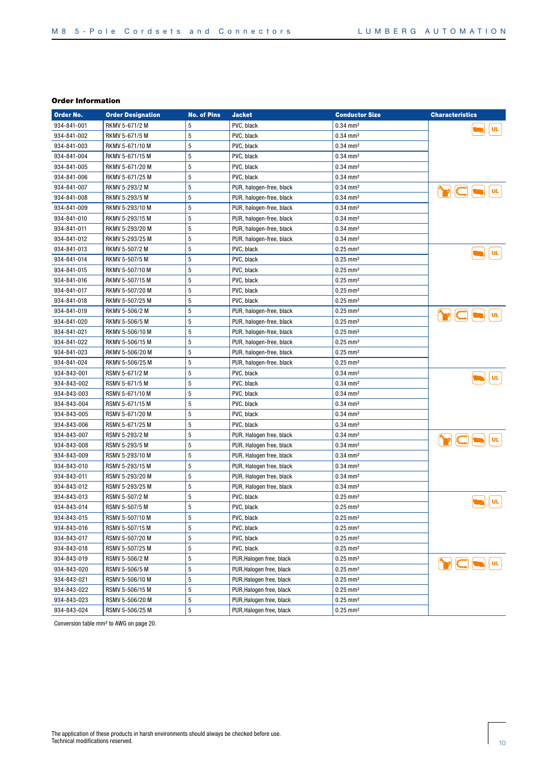| Order No.   | <b>Order Designation</b> | <b>No. of Pins</b> | <b>Jacket</b>            | <b>Conductor Size</b>  | <b>Characteristics</b>                      |
|-------------|--------------------------|--------------------|--------------------------|------------------------|---------------------------------------------|
| 934-841-001 | RKMV 5-671/2 M           | 5                  | PVC, black               | $0.34 \, \text{mm}^2$  | <b>UL</b>                                   |
| 934-841-002 | RKMV 5-671/5 M           | 5                  | PVC, black               | $0.34 \, \text{mm}^2$  |                                             |
| 934-841-003 | RKMV 5-671/10 M          | 5                  | PVC, black               | $0.34$ mm <sup>2</sup> |                                             |
| 934-841-004 | RKMV 5-671/15 M          | 5                  | PVC, black               | $0.34$ mm <sup>2</sup> |                                             |
| 934-841-005 | RKMV 5-671/20 M          | 5                  | PVC, black               | $0.34$ mm <sup>2</sup> |                                             |
| 934-841-006 | RKMV 5-671/25 M          | 5                  | PVC, black               | $0.34 \, \text{mm}^2$  |                                             |
| 934-841-007 | RKMV 5-293/2 M           | 5                  | PUR, halogen-free, black | $0.34$ mm <sup>2</sup> | UL                                          |
| 934-841-008 | RKMV 5-293/5 M           | 5                  | PUR, halogen-free, black | $0.34$ mm <sup>2</sup> |                                             |
| 934-841-009 | RKMV 5-293/10 M          | 5                  | PUR, halogen-free, black | $0.34$ mm <sup>2</sup> |                                             |
| 934-841-010 | RKMV 5-293/15 M          | 5                  | PUR, halogen-free, black | $0.34 \, \text{mm}^2$  |                                             |
| 934-841-011 | RKMV 5-293/20 M          | 5                  | PUR, halogen-free, black | $0.34 \, \text{mm}^2$  |                                             |
| 934-841-012 | RKMV 5-293/25 M          | 5                  | PUR, halogen-free, black | $0.34 \text{ mm}^2$    |                                             |
| 934-841-013 | RKMV 5-507/2 M           | 5                  | PVC, black               | $0.25$ mm <sup>2</sup> | UL                                          |
| 934-841-014 | RKMV 5-507/5 M           | 5                  | PVC, black               | $0.25 \, \text{mm}^2$  |                                             |
| 934-841-015 | RKMV 5-507/10 M          | 5                  | PVC, black               | $0.25$ mm <sup>2</sup> |                                             |
| 934-841-016 | RKMV 5-507/15 M          | 5                  | PVC, black               | $0.25 \, \text{mm}^2$  |                                             |
| 934-841-017 | RKMV 5-507/20 M          | 5                  | PVC, black               | $0.25$ mm <sup>2</sup> |                                             |
| 934-841-018 | RKMV 5-507/25 M          | 5                  | PVC, black               | $0.25$ mm <sup>2</sup> |                                             |
| 934-841-019 | RKMV 5-506/2 M           | 5                  | PUR, halogen-free, black | $0.25$ mm <sup>2</sup> | $\sim$<br>$\ensuremath{\mathsf{UL}}\xspace$ |
| 934-841-020 | RKMV 5-506/5 M           | 5                  | PUR, halogen-free, black | $0.25$ mm <sup>2</sup> |                                             |
| 934-841-021 | RKMV 5-506/10 M          | 5                  | PUR, halogen-free, black | $0.25 \text{ mm}^2$    |                                             |
| 934-841-022 | RKMV 5-506/15 M          | 5                  | PUR, halogen-free, black | $0.25$ mm <sup>2</sup> |                                             |
| 934-841-023 | RKMV 5-506/20 M          | 5                  | PUR, halogen-free, black | $0.25 \, \text{mm}^2$  |                                             |
| 934-841-024 | RKMV 5-506/25 M          | 5                  | PUR, halogen-free, black | $0.25$ mm <sup>2</sup> |                                             |
| 934-843-001 | RSMV 5-671/2 M           | 5                  | PVC, black               | $0.34$ mm <sup>2</sup> |                                             |
| 934-843-002 | RSMV 5-671/5 M           | 5                  | PVC, black               | $0.34$ mm <sup>2</sup> | <b>UL</b>                                   |
| 934-843-003 | RSMV 5-671/10 M          | 5                  | PVC, black               | $0.34$ mm <sup>2</sup> |                                             |
| 934-843-004 | RSMV 5-671/15 M          | 5                  | PVC, black               | $0.34$ mm <sup>2</sup> |                                             |
| 934-843-005 | RSMV 5-671/20 M          | 5                  | PVC, black               | $0.34$ mm <sup>2</sup> |                                             |
| 934-843-006 | RSMV 5-671/25 M          | 5                  | PVC, black               | $0.34 \text{ mm}^2$    |                                             |
| 934-843-007 | RSMV 5-293/2 M           | 5                  | PUR, Halogen free, black | $0.34$ mm <sup>2</sup> |                                             |
| 934-843-008 | RSMV 5-293/5 M           | 5                  | PUR, Halogen free, black | $0.34 \, \text{mm}^2$  | <b>UL</b>                                   |
| 934-843-009 | RSMV 5-293/10 M          | 5                  | PUR, Halogen free, black | $0.34$ mm <sup>2</sup> |                                             |
| 934-843-010 | RSMV 5-293/15 M          | 5                  | PUR, Halogen free, black | $0.34$ mm <sup>2</sup> |                                             |
| 934-843-011 | RSMV 5-293/20 M          | 5                  | PUR, Halogen free, black | $0.34$ mm <sup>2</sup> |                                             |
| 934-843-012 | RSMV 5-293/25 M          | 5                  | PUR, Halogen free, black | $0.34$ mm <sup>2</sup> |                                             |
| 934-843-013 | RSMV 5-507/2 M           | 5                  | PVC, black               | $0.25$ mm <sup>2</sup> |                                             |
| 934-843-014 | RSMV 5-507/5 M           | 5                  | PVC, black               | $0.25 \text{ mm}^2$    | <b>UL</b>                                   |
| 934-843-015 | RSMV 5-507/10 M          | 5                  | PVC, black               | $0.25 \text{ mm}^2$    |                                             |
| 934-843-016 | RSMV 5-507/15 M          | 5                  | PVC, black               | $0.25 \text{ mm}^2$    |                                             |
| 934-843-017 | RSMV 5-507/20 M          | 5                  | PVC, black               | $0.25$ mm <sup>2</sup> |                                             |
| 934-843-018 | RSMV 5-507/25 M          | 5                  | PVC, black               | $0.25$ mm <sup>2</sup> |                                             |
| 934-843-019 | RSMV 5-506/2 M           | 5                  | PUR, Halogen free, black | $0.25$ mm <sup>2</sup> |                                             |
| 934-843-020 | RSMV 5-506/5 M           | 5                  | PUR, Halogen free, black | $0.25$ mm <sup>2</sup> | $ $ UL<br>$\triangleright$ $\in$            |
| 934-843-021 | RSMV 5-506/10 M          | 5                  | PUR, Halogen free, black | $0.25$ mm <sup>2</sup> |                                             |
| 934-843-022 | RSMV 5-506/15 M          | 5                  | PUR, Halogen free, black | $0.25 \, \text{mm}^2$  |                                             |
| 934-843-023 | RSMV 5-506/20 M          | 5                  | PUR, Halogen free, black | $0.25 \, \text{mm}^2$  |                                             |
| 934-843-024 | RSMV 5-506/25 M          | 5                  | PUR, Halogen free, black | $0.25 \, \text{mm}^2$  |                                             |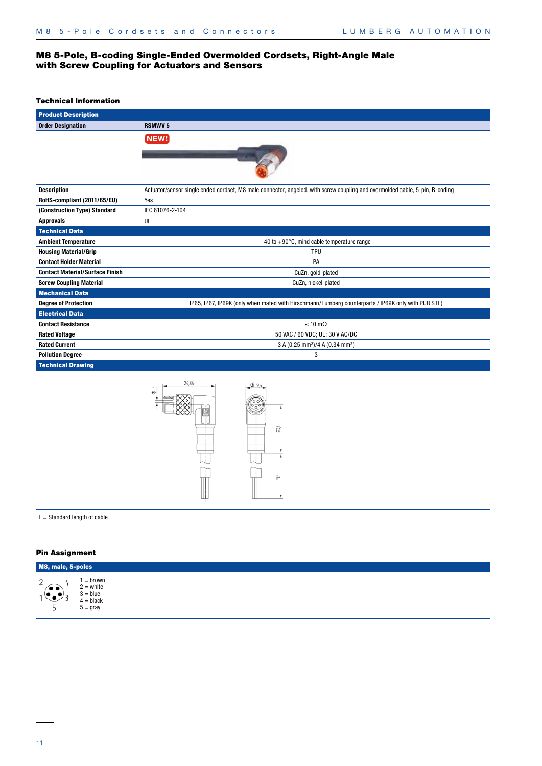# M8 5-Pole, B-coding Single-Ended Overmolded Cordsets, Right-Angle Male with Screw Coupling for Actuators and Sensors

#### Technical Information

| <b>Product Description</b>             |                                                                                                                             |
|----------------------------------------|-----------------------------------------------------------------------------------------------------------------------------|
| <b>Order Designation</b>               | <b>RSMWV5</b>                                                                                                               |
|                                        | NEW!                                                                                                                        |
| <b>Description</b>                     | Actuator/sensor single ended cordset, M8 male connector, angeled, with screw coupling and overmolded cable, 5-pin, B-coding |
| RoHS-compliant (2011/65/EU)            | Yes                                                                                                                         |
| (Construction Type) Standard           | IEC 61076-2-104                                                                                                             |
| <b>Approvals</b>                       | UL                                                                                                                          |
| <b>Technical Data</b>                  |                                                                                                                             |
| <b>Ambient Temperature</b>             | -40 to $+90^{\circ}$ C, mind cable temperature range                                                                        |
| <b>Housing Material/Grip</b>           | <b>TPU</b>                                                                                                                  |
| <b>Contact Holder Material</b>         | PA                                                                                                                          |
| <b>Contact Material/Surface Finish</b> | CuZn, gold-plated                                                                                                           |
| <b>Screw Coupling Material</b>         | CuZn, nickel-plated                                                                                                         |
| <b>Mechanical Data</b>                 |                                                                                                                             |
| <b>Degree of Protection</b>            | IP65, IP67, IP69K (only when mated with Hirschmann/Lumberg counterparts / IP69K only with PUR STL)                          |
| <b>Electrical Data</b>                 |                                                                                                                             |
| <b>Contact Resistance</b>              | $\leq 10 \text{ m}\Omega$                                                                                                   |
| <b>Rated Voltage</b>                   | 50 VAC / 60 VDC; UL: 30 V AC/DC                                                                                             |
| <b>Rated Current</b>                   | 3 A (0.25 mm <sup>2</sup> )/4 A (0.34 mm <sup>2</sup> )                                                                     |
| <b>Pollution Degree</b>                | 3                                                                                                                           |
| <b>Technical Drawing</b>               |                                                                                                                             |
|                                        | 24,85<br>$\phi$ 9.6<br>231                                                                                                  |

#### $L =$  Standard length of cable

| M8, male, 5-poles |                                                                     |  |  |  |  |  |  |
|-------------------|---------------------------------------------------------------------|--|--|--|--|--|--|
| $\bullet\bullet$  | $1 =$ brown<br>2 = white<br>$3 = blue$<br>$4 = black$<br>$5 =$ gray |  |  |  |  |  |  |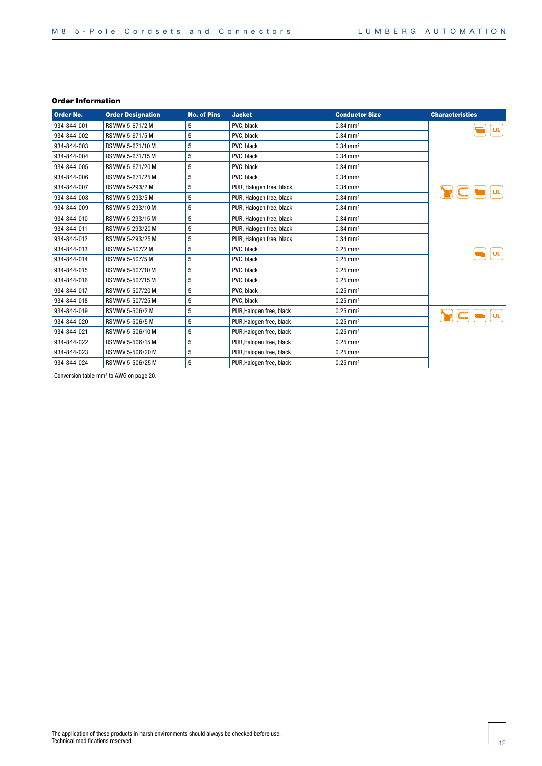| Order No.   | <b>Order Designation</b> | <b>No. of Pins</b> | <b>Jacket</b>            | <b>Conductor Size</b>  | <b>Characteristics</b> |
|-------------|--------------------------|--------------------|--------------------------|------------------------|------------------------|
| 934-844-001 | RSMWV 5-671/2 M          | 5                  | PVC, black               | $0.34$ mm <sup>2</sup> | <b>UL</b>              |
| 934-844-002 | RSMWV 5-671/5 M          | 5                  | PVC, black               | $0.34$ mm <sup>2</sup> |                        |
| 934-844-003 | RSMWV 5-671/10 M         | 5                  | PVC, black               | $0.34$ mm <sup>2</sup> |                        |
| 934-844-004 | RSMWV 5-671/15 M         | 5                  | PVC, black               | $0.34$ mm <sup>2</sup> |                        |
| 934-844-005 | RSMWV 5-671/20 M         | 5                  | PVC. black               | $0.34$ mm <sup>2</sup> |                        |
| 934-844-006 | RSMWV 5-671/25 M         | 5                  | PVC, black               | $0.34$ mm <sup>2</sup> |                        |
| 934-844-007 | <b>RSMWV 5-293/2 M</b>   | 5                  | PUR, Halogen free, black | $0.34$ mm <sup>2</sup> | UL                     |
| 934-844-008 | RSMWV 5-293/5 M          | 5                  | PUR, Halogen free, black | $0.34 \, \text{mm}^2$  |                        |
| 934-844-009 | RSMWV 5-293/10 M         | 5                  | PUR, Halogen free, black | $0.34$ mm <sup>2</sup> |                        |
| 934-844-010 | RSMWV 5-293/15 M         | 5                  | PUR, Halogen free, black | $0.34$ mm <sup>2</sup> |                        |
| 934-844-011 | RSMWV 5-293/20 M         | 5                  | PUR, Halogen free, black | $0.34$ mm <sup>2</sup> |                        |
| 934-844-012 | RSMWV 5-293/25 M         | 5                  | PUR, Halogen free, black | $0.34$ mm <sup>2</sup> |                        |
| 934-844-013 | RSMWV 5-507/2 M          | 5                  | PVC, black               | $0.25 \text{ mm}^2$    | <b>UL</b>              |
| 934-844-014 | RSMWV 5-507/5 M          | 5                  | PVC, black               | $0.25 \text{ mm}^2$    |                        |
| 934-844-015 | RSMWV 5-507/10 M         | 5                  | PVC, black               | $0.25$ mm <sup>2</sup> |                        |
| 934-844-016 | RSMWV 5-507/15 M         | 5                  | PVC, black               | $0.25$ mm <sup>2</sup> |                        |
| 934-844-017 | RSMWV 5-507/20 M         | 5                  | PVC, black               | $0.25 \text{ mm}^2$    |                        |
| 934-844-018 | RSMWV 5-507/25 M         | 5                  | PVC, black               | $0.25 \text{ mm}^2$    |                        |
| 934-844-019 | RSMWV 5-506/2 M          | 5                  | PUR, Halogen free, black | $0.25 \text{ mm}^2$    | <b>UL</b>              |
| 934-844-020 | RSMWV 5-506/5 M          | 5                  | PUR, Halogen free, black | $0.25$ mm <sup>2</sup> |                        |
| 934-844-021 | RSMWV 5-506/10 M         | 5                  | PUR, Halogen free, black | $0.25 \text{ mm}^2$    |                        |
| 934-844-022 | RSMWV 5-506/15 M         | 5                  | PUR, Halogen free, black | $0.25 \text{ mm}^2$    |                        |
| 934-844-023 | RSMWV 5-506/20 M         | 5                  | PUR, Halogen free, black | $0.25 \text{ mm}^2$    |                        |
| 934-844-024 | RSMWV 5-506/25 M         | 5                  | PUR, Halogen free, black | $0.25$ mm <sup>2</sup> |                        |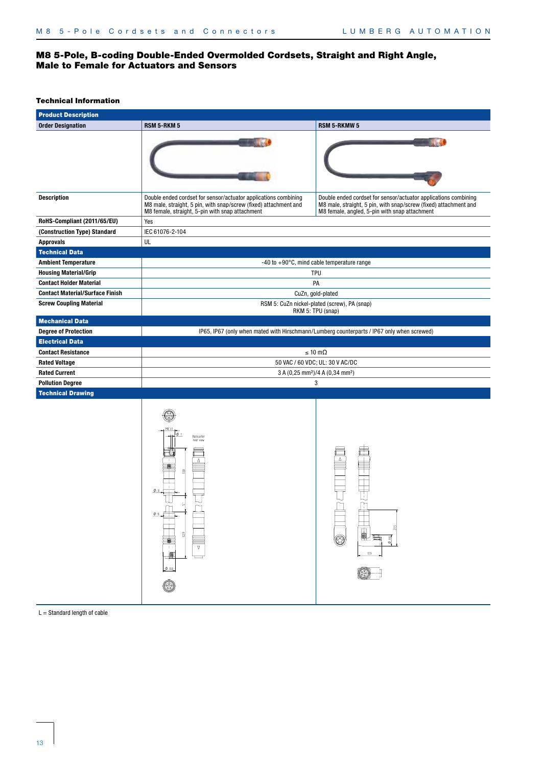# M8 5-Pole, B-coding Double-Ended Overmolded Cordsets, Straight and Right Angle, Male to Female for Actuators and Sensors

#### Technical Information

| <b>Product Description</b>             |                                                                                                                                                                                        |                                                                                                                                                                                      |
|----------------------------------------|----------------------------------------------------------------------------------------------------------------------------------------------------------------------------------------|--------------------------------------------------------------------------------------------------------------------------------------------------------------------------------------|
| <b>Order Designation</b>               | <b>RSM 5-RKM 5</b>                                                                                                                                                                     | <b>RSM 5-RKMW 5</b>                                                                                                                                                                  |
|                                        |                                                                                                                                                                                        |                                                                                                                                                                                      |
| <b>Description</b>                     | Double ended cordset for sensor/actuator applications combining<br>M8 male, straight, 5 pin, with snap/screw (fixed) attachment and<br>M8 female, straight, 5-pin with snap attachment | Double ended cordset for sensor/actuator applications combining<br>M8 male, straight, 5 pin, with snap/screw (fixed) attachment and<br>M8 female, angled, 5-pin with snap attachment |
| RoHS-Compliant (2011/65/EU)            | Yes                                                                                                                                                                                    |                                                                                                                                                                                      |
| (Construction Type) Standard           | IEC 61076-2-104                                                                                                                                                                        |                                                                                                                                                                                      |
| <b>Approvals</b>                       | UL                                                                                                                                                                                     |                                                                                                                                                                                      |
| <b>Technical Data</b>                  |                                                                                                                                                                                        |                                                                                                                                                                                      |
| <b>Ambient Temperature</b>             |                                                                                                                                                                                        | $-40$ to $+90^{\circ}$ C, mind cable temperature range                                                                                                                               |
| <b>Housing Material/Grip</b>           |                                                                                                                                                                                        | TPU                                                                                                                                                                                  |
| <b>Contact Holder Material</b>         |                                                                                                                                                                                        | PA                                                                                                                                                                                   |
| <b>Contact Material/Surface Finish</b> |                                                                                                                                                                                        | CuZn, gold-plated                                                                                                                                                                    |
| <b>Screw Coupling Material</b>         |                                                                                                                                                                                        | RSM 5: CuZn nickel-plated (screw), PA (snap)<br>RKM 5: TPU (snap)                                                                                                                    |
| <b>Mechanical Data</b>                 |                                                                                                                                                                                        |                                                                                                                                                                                      |
| <b>Degree of Protection</b>            |                                                                                                                                                                                        | IP65, IP67 (only when mated with Hirschmann/Lumberg counterparts / IP67 only when screwed)                                                                                           |
| <b>Electrical Data</b>                 |                                                                                                                                                                                        |                                                                                                                                                                                      |
| <b>Contact Resistance</b>              |                                                                                                                                                                                        | $\leq 10 \text{ m}\Omega$                                                                                                                                                            |
| <b>Rated Voltage</b>                   |                                                                                                                                                                                        | 50 VAC / 60 VDC; UL: 30 V AC/DC                                                                                                                                                      |
| <b>Rated Current</b>                   |                                                                                                                                                                                        | 3 A (0,25 mm <sup>2</sup> )/4 A (0,34 mm <sup>2</sup> )                                                                                                                              |
| <b>Pollution Degree</b>                |                                                                                                                                                                                        | 3                                                                                                                                                                                    |
| <b>Technical Drawing</b>               |                                                                                                                                                                                        |                                                                                                                                                                                      |
|                                        | Rückseite/<br>rear view<br><b>THE READER</b><br>$\overline{\mathbf{v}}$<br>٥                                                                                                           | i.<br>68<br>O<br>Ó                                                                                                                                                                   |

 $L =$  Standard length of cable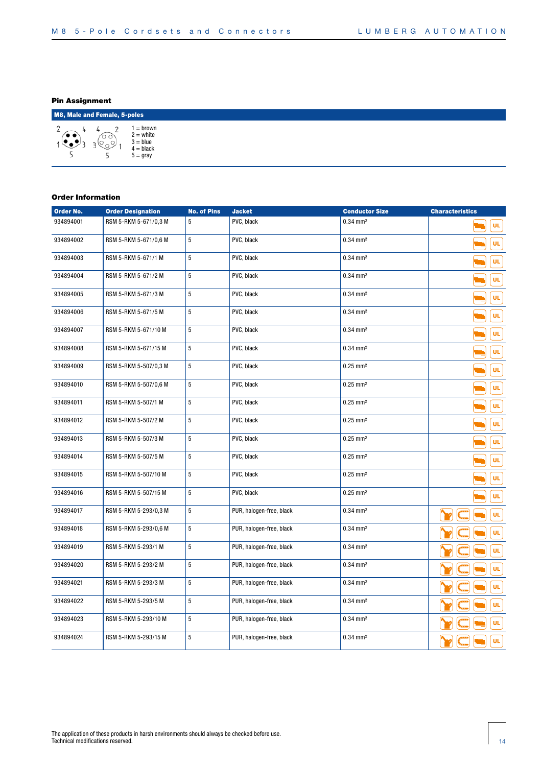# Pin Assignment

|      | M8, Male and Female, 5-poles |                                                                   |  |  |  |  |  |  |  |  |
|------|------------------------------|-------------------------------------------------------------------|--|--|--|--|--|--|--|--|
| ′• • | O O                          | = brown<br>$2 = white$<br>$3 = blue$<br>$4 = black$<br>$5 =$ gray |  |  |  |  |  |  |  |  |

| Order No. | <b>Order Designation</b> | <b>No. of Pins</b> | <b>Jacket</b>            | <b>Conductor Size</b>  | <b>Characteristics</b> |
|-----------|--------------------------|--------------------|--------------------------|------------------------|------------------------|
| 934894001 | RSM 5-RKM 5-671/0,3 M    | 5                  | PVC, black               | $0.34$ mm <sup>2</sup> | UL                     |
| 934894002 | RSM 5-RKM 5-671/0,6 M    | 5                  | PVC, black               | $0.34 \, \text{mm}^2$  | UL                     |
| 934894003 | RSM 5-RKM 5-671/1 M      | 5                  | PVC, black               | $0.34 \, \text{mm}^2$  | UL.                    |
| 934894004 | RSM 5-RKM 5-671/2 M      | 5                  | PVC, black               | $0.34$ mm <sup>2</sup> | UL                     |
| 934894005 | RSM 5-RKM 5-671/3 M      | 5                  | PVC, black               | $0.34$ mm <sup>2</sup> | UL.                    |
| 934894006 | RSM 5-RKM 5-671/5 M      | 5                  | PVC, black               | $0.34$ mm <sup>2</sup> | UL                     |
| 934894007 | RSM 5-RKM 5-671/10 M     | 5                  | PVC, black               | $0.34 \, \text{mm}^2$  | UL.                    |
| 934894008 | RSM 5-RKM 5-671/15 M     | 5                  | PVC, black               | $0.34$ mm <sup>2</sup> | UL.                    |
| 934894009 | RSM 5-RKM 5-507/0,3 M    | 5                  | PVC, black               | $0.25$ mm <sup>2</sup> | UL.                    |
| 934894010 | RSM 5-RKM 5-507/0,6 M    | 5                  | PVC, black               | $0.25$ mm <sup>2</sup> | <b>UL</b>              |
| 934894011 | RSM 5-RKM 5-507/1 M      | 5                  | PVC, black               | $0.25$ mm <sup>2</sup> | ÜL                     |
| 934894012 | RSM 5-RKM 5-507/2 M      | 5                  | PVC, black               | $0.25$ mm <sup>2</sup> | ÜL                     |
| 934894013 | RSM 5-RKM 5-507/3 M      | 5                  | PVC, black               | $0.25$ mm <sup>2</sup> | ÜL                     |
| 934894014 | RSM 5-RKM 5-507/5 M      | 5                  | PVC, black               | $0.25$ mm <sup>2</sup> | UL                     |
| 934894015 | RSM 5-RKM 5-507/10 M     | 5                  | PVC, black               | $0.25$ mm <sup>2</sup> | UL                     |
| 934894016 | RSM 5-RKM 5-507/15 M     | 5                  | PVC, black               | $0.25$ mm <sup>2</sup> | UL                     |
| 934894017 | RSM 5-RKM 5-293/0,3 M    | 5                  | PUR, halogen-free, black | $0.34$ mm <sup>2</sup> | UL.                    |
| 934894018 | RSM 5-RKM 5-293/0,6 M    | 5                  | PUR, halogen-free, black | $0.34$ mm <sup>2</sup> | UL                     |
| 934894019 | RSM 5-RKM 5-293/1 M      | 5                  | PUR, halogen-free, black | $0.34$ mm <sup>2</sup> | UL.                    |
| 934894020 | RSM 5-RKM 5-293/2 M      | 5                  | PUR, halogen-free, black | $0.34$ mm <sup>2</sup> | UL                     |
| 934894021 | RSM 5-RKM 5-293/3 M      | 5                  | PUR, halogen-free, black | $0.34$ mm <sup>2</sup> | UL                     |
| 934894022 | RSM 5-RKM 5-293/5 M      | 5                  | PUR, halogen-free, black | $0.34 \, \text{mm}^2$  | UL.                    |
| 934894023 | RSM 5-RKM 5-293/10 M     | 5                  | PUR, halogen-free, black | $0.34$ mm <sup>2</sup> | ÜL                     |
| 934894024 | RSM 5-RKM 5-293/15 M     | 5                  | PUR, halogen-free, black | $0.34$ mm <sup>2</sup> | UL.                    |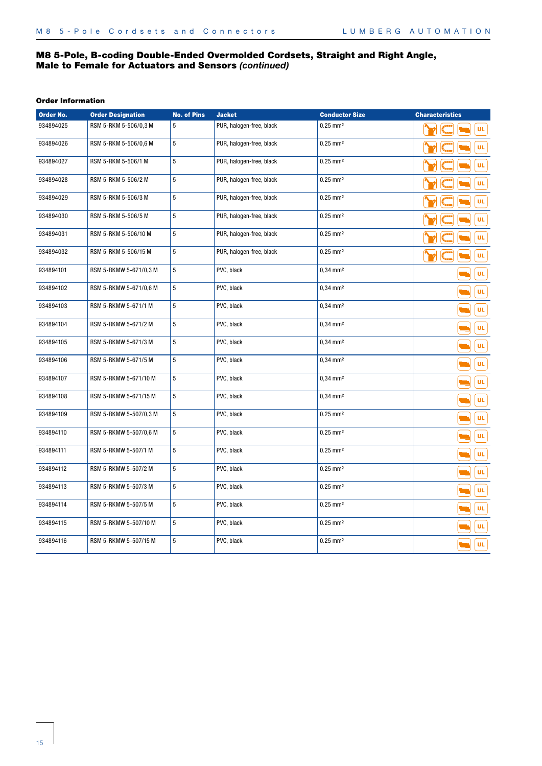# M8 5-Pole, B-coding Double-Ended Overmolded Cordsets, Straight and Right Angle, Male to Female for Actuators and Sensors *(continued)*

| Order No. | <b>Order Designation</b> | <b>No. of Pins</b> | <b>Jacket</b>            | <b>Conductor Size</b>  | <b>Characteristics</b> |
|-----------|--------------------------|--------------------|--------------------------|------------------------|------------------------|
| 934894025 | RSM 5-RKM 5-506/0,3 M    | 5                  | PUR, halogen-free, black | $0.25$ mm <sup>2</sup> | UL.                    |
| 934894026 | RSM 5-RKM 5-506/0,6 M    | $\overline{5}$     | PUR, halogen-free, black | $0.25$ mm <sup>2</sup> | UL.                    |
| 934894027 | RSM 5-RKM 5-506/1 M      | $\overline{5}$     | PUR, halogen-free, black | $0.25$ mm <sup>2</sup> | UL.                    |
| 934894028 | RSM 5-RKM 5-506/2 M      | $\overline{5}$     | PUR, halogen-free, black | $0.25$ mm <sup>2</sup> | <b>UL</b>              |
| 934894029 | RSM 5-RKM 5-506/3 M      | $\overline{5}$     | PUR, halogen-free, black | $0.25$ mm <sup>2</sup> | UL.                    |
| 934894030 | RSM 5-RKM 5-506/5 M      | $\overline{5}$     | PUR, halogen-free, black | $0.25$ mm <sup>2</sup> | UL                     |
| 934894031 | RSM 5-RKM 5-506/10 M     | 5                  | PUR, halogen-free, black | $0.25$ mm <sup>2</sup> | UL.                    |
| 934894032 | RSM 5-RKM 5-506/15 M     | $\overline{5}$     | PUR, halogen-free, black | $0.25$ mm <sup>2</sup> | UL                     |
| 934894101 | RSM 5-RKMW 5-671/0,3 M   | 5                  | PVC, black               | $0,34$ mm <sup>2</sup> | ÜL                     |
| 934894102 | RSM 5-RKMW 5-671/0,6 M   | 5                  | PVC, black               | $0,34$ mm <sup>2</sup> | <b>UL</b>              |
| 934894103 | RSM 5-RKMW 5-671/1 M     | $\overline{5}$     | PVC, black               | $0,34$ mm <sup>2</sup> | UL.                    |
| 934894104 | RSM 5-RKMW 5-671/2 M     | $\overline{5}$     | PVC, black               | $0,34$ mm <sup>2</sup> | UL.                    |
| 934894105 | RSM 5-RKMW 5-671/3 M     | 5                  | PVC, black               | $0,34$ mm <sup>2</sup> | ÜL                     |
| 934894106 | RSM 5-RKMW 5-671/5 M     | $\overline{5}$     | PVC, black               | $0.34$ mm <sup>2</sup> | UL.                    |
| 934894107 | RSM 5-RKMW 5-671/10 M    | 5                  | PVC, black               | $0,34$ mm <sup>2</sup> | UL.                    |
| 934894108 | RSM 5-RKMW 5-671/15 M    | $\sqrt{5}$         | PVC, black               | $0,34$ mm <sup>2</sup> | UL.                    |
| 934894109 | RSM 5-RKMW 5-507/0,3 M   | 5                  | PVC, black               | $0.25$ mm <sup>2</sup> | UL.                    |
| 934894110 | RSM 5-RKMW 5-507/0,6 M   | 5                  | PVC, black               | $0.25$ mm <sup>2</sup> | UL.                    |
| 934894111 | RSM 5-RKMW 5-507/1 M     | 5                  | PVC, black               | $0.25$ mm <sup>2</sup> | <b>UL</b>              |
| 934894112 | RSM 5-RKMW 5-507/2 M     | $\mathbf 5$        | PVC, black               | $0.25$ mm <sup>2</sup> | <b>UL</b>              |
| 934894113 | RSM 5-RKMW 5-507/3 M     | $\overline{5}$     | PVC, black               | $0.25$ mm <sup>2</sup> | <b>UL</b>              |
| 934894114 | RSM 5-RKMW 5-507/5 M     | $\overline{5}$     | PVC, black               | $0.25$ mm <sup>2</sup> | <b>UL</b>              |
| 934894115 | RSM 5-RKMW 5-507/10 M    | $\sqrt{5}$         | PVC, black               | $0.25$ mm <sup>2</sup> | UL.                    |
| 934894116 | RSM 5-RKMW 5-507/15 M    | 5                  | PVC, black               | $0.25$ mm <sup>2</sup> | UL                     |
|           |                          |                    |                          |                        |                        |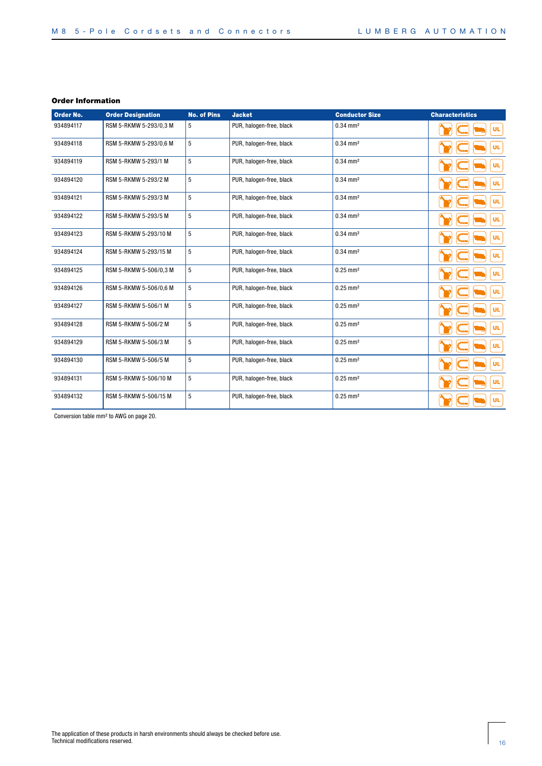| Order No. | <b>Order Designation</b> | <b>No. of Pins</b> | <b>Jacket</b>            | <b>Conductor Size</b>  | <b>Characteristics</b> |
|-----------|--------------------------|--------------------|--------------------------|------------------------|------------------------|
| 934894117 | RSM 5-RKMW 5-293/0,3 M   | 5                  | PUR, halogen-free, black | $0.34$ mm <sup>2</sup> | <b>UL</b>              |
| 934894118 | RSM 5-RKMW 5-293/0,6 M   | 5                  | PUR, halogen-free, black | $0.34 \, \text{mm}^2$  | <b>UL</b>              |
| 934894119 | RSM 5-RKMW 5-293/1 M     | 5                  | PUR, halogen-free, black | $0.34 \, \text{mm}^2$  | <b>UL</b>              |
| 934894120 | RSM 5-RKMW 5-293/2 M     | 5                  | PUR, halogen-free, black | $0.34 \, \text{mm}^2$  | <b>UL</b>              |
| 934894121 | RSM 5-RKMW 5-293/3 M     | 5                  | PUR, halogen-free, black | $0.34$ mm <sup>2</sup> | <b>UL</b>              |
| 934894122 | RSM 5-RKMW 5-293/5 M     | 5                  | PUR, halogen-free, black | $0.34 \, \text{mm}^2$  | <b>UL</b>              |
| 934894123 | RSM 5-RKMW 5-293/10 M    | 5                  | PUR, halogen-free, black | $0.34$ mm <sup>2</sup> | <b>UL</b>              |
| 934894124 | RSM 5-RKMW 5-293/15 M    | 5                  | PUR, halogen-free, black | $0.34 \, \text{mm}^2$  | <b>UL</b>              |
| 934894125 | RSM 5-RKMW 5-506/0.3 M   | 5                  | PUR, halogen-free, black | $0.25 \, \text{mm}^2$  | UL                     |
| 934894126 | RSM 5-RKMW 5-506/0,6 M   | 5                  | PUR, halogen-free, black | $0.25$ mm <sup>2</sup> | <b>UL</b>              |
| 934894127 | RSM 5-RKMW 5-506/1 M     | 5                  | PUR, halogen-free, black | $0.25 \, \text{mm}^2$  | <b>UL</b>              |
| 934894128 | RSM 5-RKMW 5-506/2 M     | 5                  | PUR, halogen-free, black | $0.25 \text{ mm}^2$    | <b>UL</b>              |
| 934894129 | RSM 5-RKMW 5-506/3 M     | 5                  | PUR, halogen-free, black | $0.25 \, \text{mm}^2$  | <b>UL</b>              |
| 934894130 | RSM 5-RKMW 5-506/5 M     | 5                  | PUR, halogen-free, black | $0.25 \, \text{mm}^2$  | <b>UL</b>              |
| 934894131 | RSM 5-RKMW 5-506/10 M    | 5                  | PUR, halogen-free, black | $0.25 \, \text{mm}^2$  | <b>UL</b>              |
| 934894132 | RSM 5-RKMW 5-506/15 M    | 5                  | PUR, halogen-free, black | $0.25 \, \text{mm}^2$  | <b>UL</b>              |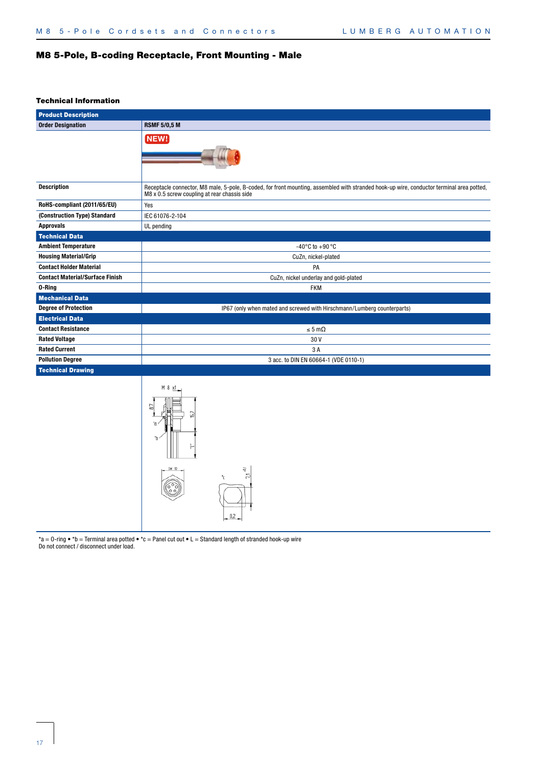# M8 5-Pole, B-coding Receptacle, Front Mounting - Male

#### Technical Information

| <b>Product Description</b>             |                                                                                                                                                                                           |
|----------------------------------------|-------------------------------------------------------------------------------------------------------------------------------------------------------------------------------------------|
| <b>Order Designation</b>               | <b>RSMF 5/0,5 M</b>                                                                                                                                                                       |
|                                        | NEW!                                                                                                                                                                                      |
|                                        |                                                                                                                                                                                           |
|                                        |                                                                                                                                                                                           |
|                                        |                                                                                                                                                                                           |
|                                        |                                                                                                                                                                                           |
| <b>Description</b>                     | Receptacle connector, M8 male, 5-pole, B-coded, for front mounting, assembled with stranded hook-up wire, conductor terminal area potted,<br>M8 x 0.5 screw coupling at rear chassis side |
| RoHS-compliant (2011/65/EU)            | Yes                                                                                                                                                                                       |
| (Construction Type) Standard           | IEC 61076-2-104                                                                                                                                                                           |
| <b>Approvals</b>                       | UL pending                                                                                                                                                                                |
| <b>Technical Data</b>                  |                                                                                                                                                                                           |
| <b>Ambient Temperature</b>             | -40°C to +90°C                                                                                                                                                                            |
| <b>Housing Material/Grip</b>           | CuZn, nickel-plated                                                                                                                                                                       |
| <b>Contact Holder Material</b>         | PA                                                                                                                                                                                        |
| <b>Contact Material/Surface Finish</b> | CuZn, nickel underlay and gold-plated                                                                                                                                                     |
| 0-Ring                                 | <b>FKM</b>                                                                                                                                                                                |
| <b>Mechanical Data</b>                 |                                                                                                                                                                                           |
| <b>Degree of Protection</b>            | IP67 (only when mated and screwed with Hirschmann/Lumberg counterparts)                                                                                                                   |
| <b>Electrical Data</b>                 |                                                                                                                                                                                           |
| <b>Contact Resistance</b>              | $\leq 5 \text{ m}\Omega$                                                                                                                                                                  |
| <b>Rated Voltage</b>                   | 30V                                                                                                                                                                                       |
| <b>Rated Current</b>                   | 3A                                                                                                                                                                                        |
| <b>Pollution Degree</b>                | 3 acc. to DIN EN 60664-1 (VDE 0110-1)                                                                                                                                                     |
| <b>Technical Drawing</b>               |                                                                                                                                                                                           |
|                                        | M 8                                                                                                                                                                                       |
|                                        |                                                                                                                                                                                           |
|                                        | ្នុ<br>SWX<br>11<br>.c                                                                                                                                                                    |

\*a = 0-ring • \*b = Terminal area potted • \*c = Panel cut out • L = Standard length of stranded hook-up wire Do not connect / disconnect under load.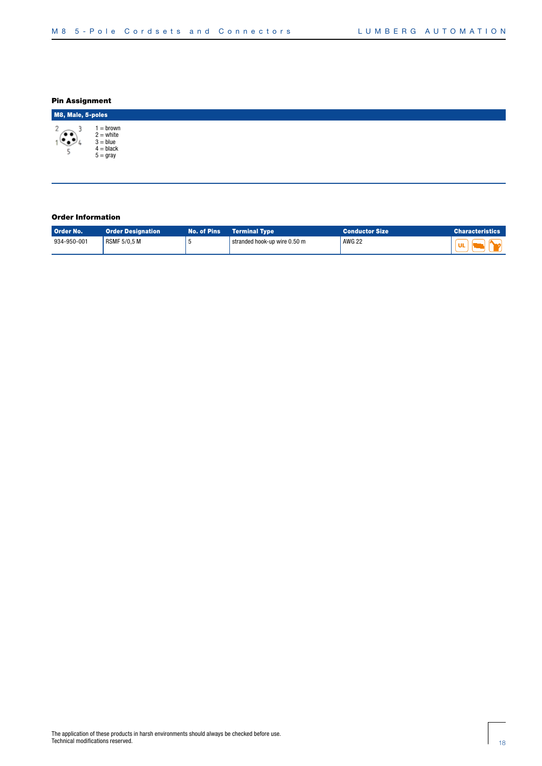# Pin Assignment

| M8, Male, 5-poles                   |                                                                   |  |  |  |  |  |  |  |
|-------------------------------------|-------------------------------------------------------------------|--|--|--|--|--|--|--|
| $\widehat{\hspace{1cm}}$<br>لتحيينه | = brown<br>$2 = white$<br>$3 = blue$<br>$4 = black$<br>$5 = gray$ |  |  |  |  |  |  |  |

| Order No.   | <b>Order Designation</b> | <b>No. of Pins</b> | $\blacksquare$ Terminal Type $\blacksquare$ | Conductor Size | $\blacksquare$ Characteristics |
|-------------|--------------------------|--------------------|---------------------------------------------|----------------|--------------------------------|
| 934-950-001 | RSMF 5/0.5 M             |                    | stranded hook-up wire 0.50 m                | <b>AWG 22</b>  | <b>UL</b>                      |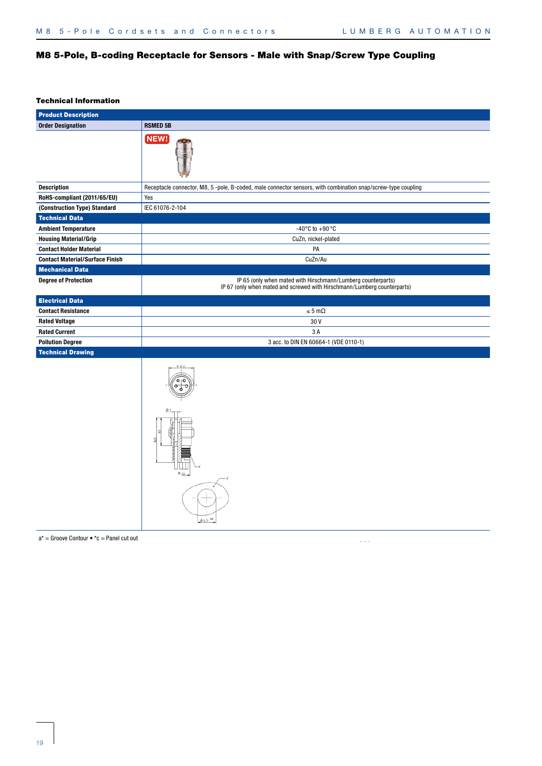# M8 5-Pole, B-coding Receptacle for Sensors - Male with Snap/Screw Type Coupling

#### Technical Information

| <b>Product Description</b>             |                                                                                                                                          |
|----------------------------------------|------------------------------------------------------------------------------------------------------------------------------------------|
| <b>Order Designation</b>               | <b>RSMED 5B</b>                                                                                                                          |
|                                        | NEW!                                                                                                                                     |
| <b>Description</b>                     | Receptacle connector, M8, 5-pole, B-coded, male connector sensors, with combination snap/screw-type coupling                             |
| RoHS-compliant (2011/65/EU)            | Yes                                                                                                                                      |
| (Construction Type) Standard           | IEC 61076-2-104                                                                                                                          |
| <b>Technical Data</b>                  |                                                                                                                                          |
| <b>Ambient Temperature</b>             | -40 $^{\circ}$ C to +90 $^{\circ}$ C                                                                                                     |
| <b>Housing Material/Grip</b>           | CuZn, nickel-plated                                                                                                                      |
| <b>Contact Holder Material</b>         | PA                                                                                                                                       |
| <b>Contact Material/Surface Finish</b> | CuZn/Au                                                                                                                                  |
| <b>Mechanical Data</b>                 |                                                                                                                                          |
| <b>Degree of Protection</b>            | IP 65 (only when mated with Hirschmann/Lumberg counterparts)<br>IP 67 (only when mated and screwed with Hirschmann/Lumberg counterparts) |
| <b>Electrical Data</b>                 |                                                                                                                                          |
| <b>Contact Resistance</b>              | $\leq 5 \text{ m}\Omega$                                                                                                                 |
| <b>Rated Voltage</b>                   | 30V                                                                                                                                      |
| <b>Rated Current</b>                   | 3 A                                                                                                                                      |
| <b>Pollution Degree</b>                | 3 acc. to DIN EN 60664-1 (VDE 0110-1)                                                                                                    |
| <b>Technical Drawing</b>               |                                                                                                                                          |
|                                        | \$5.77                                                                                                                                   |

 $a^*$  = Groove Contour  $\bullet$  \*c = Panel cut out

 $\hat{\mathcal{L}}$  ,  $\hat{\mathcal{L}}$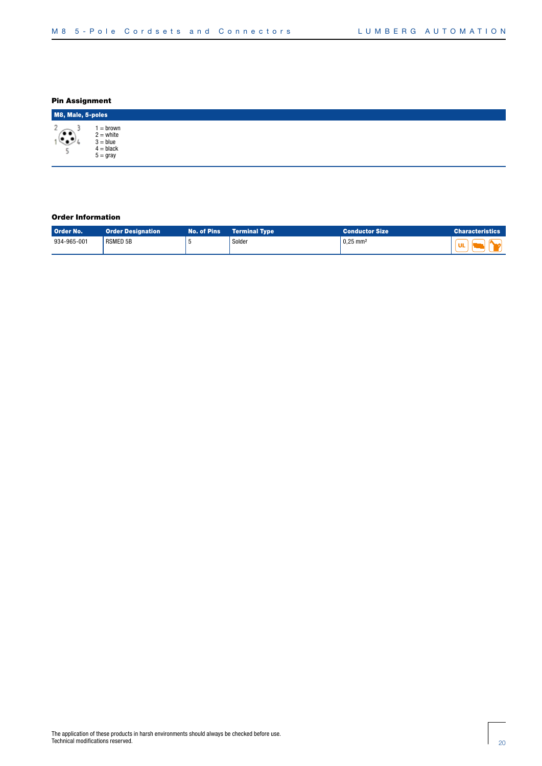# Pin Assignment

| M8, Male, 5-poles |                                                                   |  |  |  |  |  |  |
|-------------------|-------------------------------------------------------------------|--|--|--|--|--|--|
| n<br>ຼື∙<br>◛     | = brown<br>$2 = white$<br>$3 = blue$<br>$4 = black$<br>$5 =$ gray |  |  |  |  |  |  |

| Order No.   | <b>Order Designation</b> | No. of Pins | <b>Terminal Type</b> | <b>Conductor Size</b>  | <b>Characteristics</b> |
|-------------|--------------------------|-------------|----------------------|------------------------|------------------------|
| 934-965-001 | <b>RSMED 5B</b>          |             | Solder               | $0.25$ mm <sup>2</sup> |                        |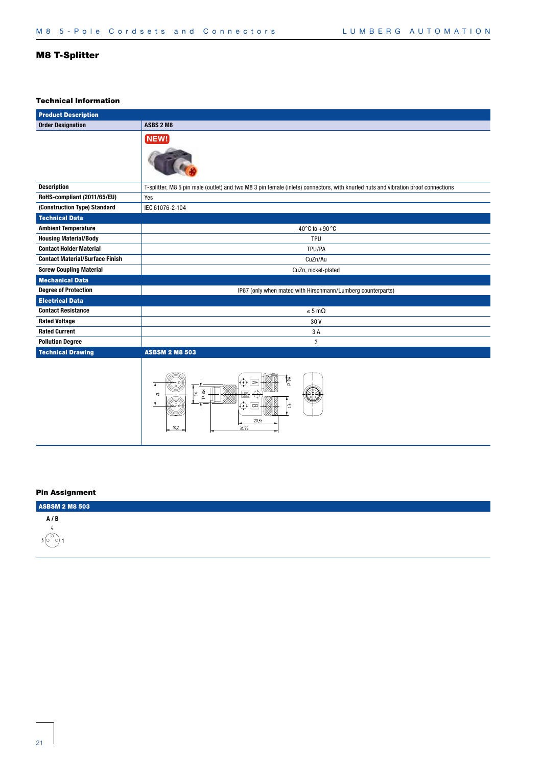# M8 T-Splitter

# Technical Information

| <b>Product Description</b>             |                                                                                                                                                                                                                                                                                                                                                                                           |  |  |  |  |
|----------------------------------------|-------------------------------------------------------------------------------------------------------------------------------------------------------------------------------------------------------------------------------------------------------------------------------------------------------------------------------------------------------------------------------------------|--|--|--|--|
| <b>Order Designation</b>               | ASBS 2 M8                                                                                                                                                                                                                                                                                                                                                                                 |  |  |  |  |
|                                        | NEW!                                                                                                                                                                                                                                                                                                                                                                                      |  |  |  |  |
| <b>Description</b>                     | T-splitter, M8 5 pin male (outlet) and two M8 3 pin female (inlets) connectors, with knurled nuts and vibration proof connections                                                                                                                                                                                                                                                         |  |  |  |  |
| RoHS-compliant (2011/65/EU)            | Yes                                                                                                                                                                                                                                                                                                                                                                                       |  |  |  |  |
| (Construction Type) Standard           | IEC 61076-2-104                                                                                                                                                                                                                                                                                                                                                                           |  |  |  |  |
| <b>Technical Data</b>                  |                                                                                                                                                                                                                                                                                                                                                                                           |  |  |  |  |
| <b>Ambient Temperature</b>             | $-40^{\circ}$ C to $+90^{\circ}$ C                                                                                                                                                                                                                                                                                                                                                        |  |  |  |  |
| <b>Housing Material/Body</b>           | <b>TPU</b>                                                                                                                                                                                                                                                                                                                                                                                |  |  |  |  |
| <b>Contact Holder Material</b>         | TPU/PA                                                                                                                                                                                                                                                                                                                                                                                    |  |  |  |  |
| <b>Contact Material/Surface Finish</b> | CuZn/Au                                                                                                                                                                                                                                                                                                                                                                                   |  |  |  |  |
| <b>Screw Coupling Material</b>         | CuZn, nickel-plated                                                                                                                                                                                                                                                                                                                                                                       |  |  |  |  |
| <b>Mechanical Data</b>                 |                                                                                                                                                                                                                                                                                                                                                                                           |  |  |  |  |
| <b>Degree of Protection</b>            | IP67 (only when mated with Hirschmann/Lumberg counterparts)                                                                                                                                                                                                                                                                                                                               |  |  |  |  |
| <b>Electrical Data</b>                 |                                                                                                                                                                                                                                                                                                                                                                                           |  |  |  |  |
| <b>Contact Resistance</b>              | $\leq 5 \text{ m}\Omega$                                                                                                                                                                                                                                                                                                                                                                  |  |  |  |  |
| <b>Rated Voltage</b>                   | 30V                                                                                                                                                                                                                                                                                                                                                                                       |  |  |  |  |
| <b>Rated Current</b>                   | 3 A                                                                                                                                                                                                                                                                                                                                                                                       |  |  |  |  |
| <b>Pollution Degree</b>                | 3                                                                                                                                                                                                                                                                                                                                                                                         |  |  |  |  |
| <b>Technical Drawing</b>               | <b>ASBSM 2 M8 503</b>                                                                                                                                                                                                                                                                                                                                                                     |  |  |  |  |
|                                        | $\overline{a}$ $\overline{a}$ $\overline{b}$ $\overline{b}$ $\overline{c}$ $\overline{d}$ $\overline{c}$ $\overline{d}$ $\overline{c}$ $\overline{d}$ $\overline{d}$ $\overline{c}$ $\overline{c}$ $\overline{c}$ $\overline{c}$ $\overline{c}$ $\overline{c}$ $\overline{c}$ $\overline{c}$ $\overline{c}$ $\overline{c}$ $\overline{c}$ $\overline{c}$ $\overline{c}$ $\overline{$<br>怪 |  |  |  |  |



| <b>ASBSM 2 M8 503</b> |  |  |
|-----------------------|--|--|
| A/B                   |  |  |
|                       |  |  |
| 310                   |  |  |